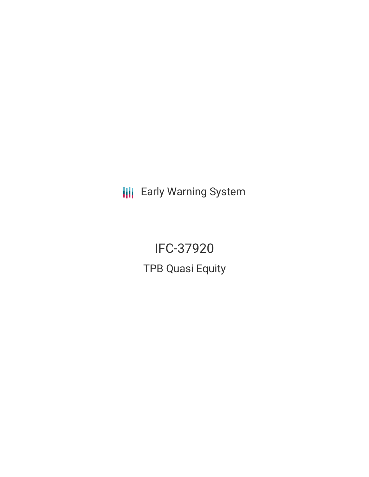**III** Early Warning System

IFC-37920 TPB Quasi Equity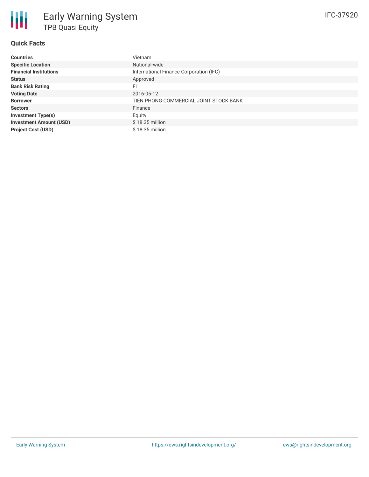# **Quick Facts**

| <b>Countries</b>               | Vietnam                                 |
|--------------------------------|-----------------------------------------|
|                                |                                         |
| <b>Specific Location</b>       | National-wide                           |
| <b>Financial Institutions</b>  | International Finance Corporation (IFC) |
| <b>Status</b>                  | Approved                                |
| <b>Bank Risk Rating</b>        | FI                                      |
| <b>Voting Date</b>             | 2016-05-12                              |
| <b>Borrower</b>                | TIEN PHONG COMMERCIAL JOINT STOCK BANK  |
| <b>Sectors</b>                 | Finance                                 |
| <b>Investment Type(s)</b>      | Equity                                  |
| <b>Investment Amount (USD)</b> | $$18.35$ million                        |
| <b>Project Cost (USD)</b>      | $$18.35$ million                        |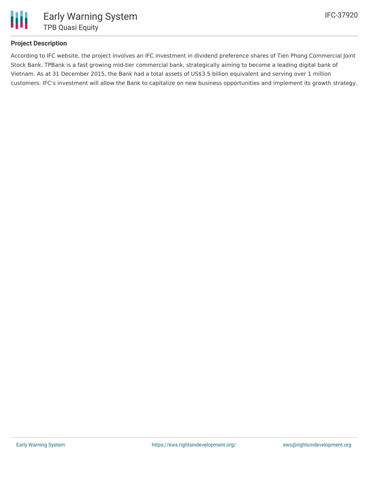

## **Project Description**

According to IFC website, the project involves an IFC investment in dividend preference shares of Tien Phong Commercial Joint Stock Bank. TPBank is a fast growing mid-tier commercial bank, strategically aiming to become a leading digital bank of Vietnam. As at 31 December 2015, the Bank had a total assets of US\$3.5 billion equivalent and serving over 1 million customers. IFC's investment will allow the Bank to capitalize on new business opportunities and implement its growth strategy.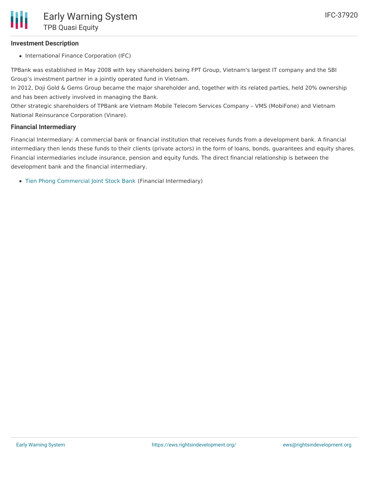#### **Investment Description**

• International Finance Corporation (IFC)

TPBank was established in May 2008 with key shareholders being FPT Group, Vietnam's largest IT company and the SBI Group's investment partner in a jointly operated fund in Vietnam.

In 2012, Doji Gold & Gems Group became the major shareholder and, together with its related parties, held 20% ownership and has been actively involved in managing the Bank.

Other strategic shareholders of TPBank are Vietnam Mobile Telecom Services Company – VMS (MobiFone) and Vietnam National Reinsurance Corporation (Vinare).

#### **Financial Intermediary**

Financial Intermediary: A commercial bank or financial institution that receives funds from a development bank. A financial intermediary then lends these funds to their clients (private actors) in the form of loans, bonds, guarantees and equity shares. Financial intermediaries include insurance, pension and equity funds. The direct financial relationship is between the development bank and the financial intermediary.

Tien Phong [Commercial](file:///actor/961/) Joint Stock Bank (Financial Intermediary)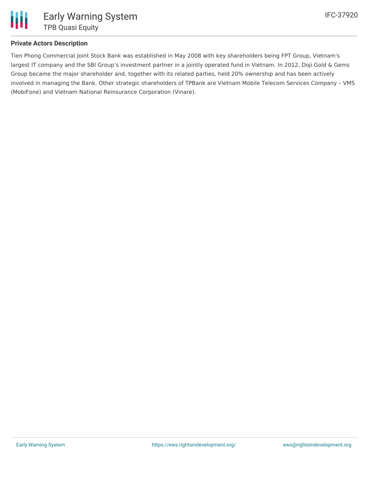

### **Private Actors Description**

Tien Phong Commercial Joint Stock Bank was established in May 2008 with key shareholders being FPT Group, Vietnam's largest IT company and the SBI Group's investment partner in a jointly operated fund in Vietnam. In 2012, Doji Gold & Gems Group became the major shareholder and, together with its related parties, held 20% ownership and has been actively involved in managing the Bank. Other strategic shareholders of TPBank are Vietnam Mobile Telecom Services Company – VMS (MobiFone) and Vietnam National Reinsurance Corporation (Vinare).